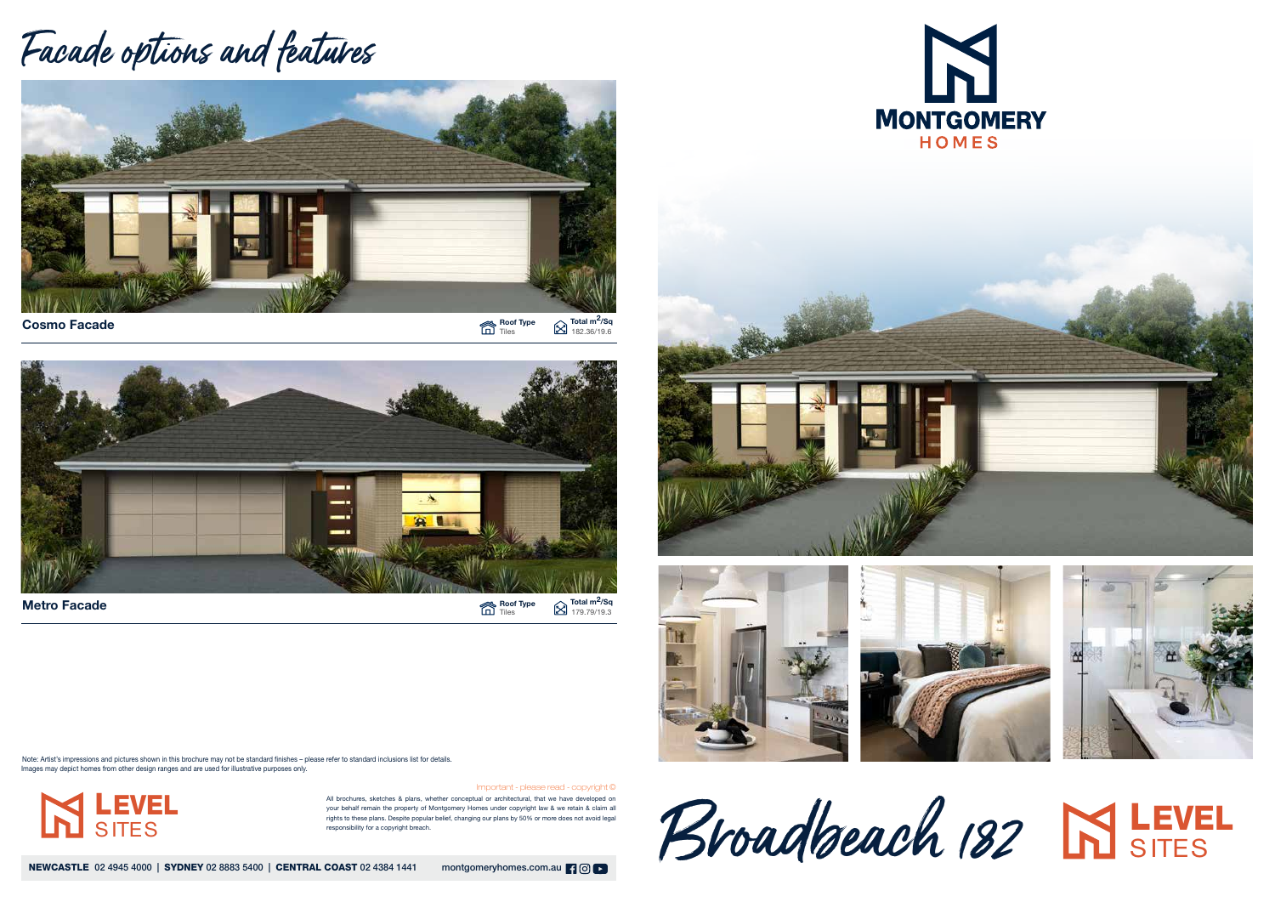Roof Type Total m<sup>2</sup>/Sq Tiles 182.36/19.6



All brochures, sketches & plans, whether conceptual or architectural, that we have developed on your behalf remain the property of Montgomery Homes under copyright law & we retain & claim all rights to these plans. Despite popular belief, changing our plans by 50% or more does not avoid legal responsibility for a copyright breach.

NEWCASTLE 02 4945 4000 | SYDNEY 02 8883 5400 | CENTRAL COAST 02 4384 1441 montgomeryhomes.com.au | 9 0 | 0









Important - please read - copyright ©

## Facade options and features



Cosmo Facade

Note: Artist's impressions and pictures shown in this brochure may not be standard finishes – please refer to standard inclusions list for details. Images may depict homes from other design ranges and are used for illustrative purposes only.

Broadbeach 182 LEVEL









LEVEL

**SITES**